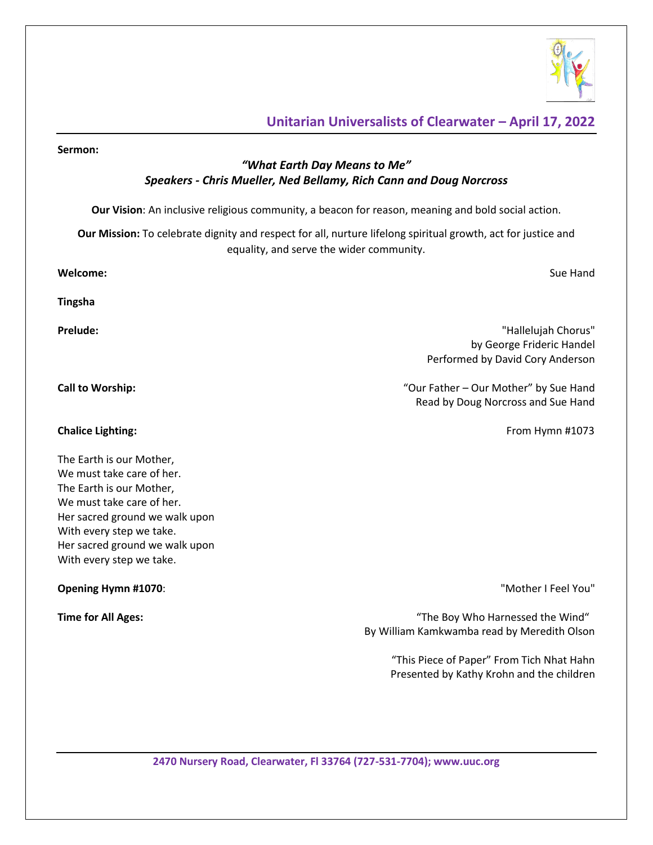

## **Unitarian Universalists of Clearwater – April 17, 2022**

# **Sermon:** *"What Earth Day Means to Me" Speakers - Chris Mueller, Ned Bellamy, Rich Cann and Doug Norcross* **Our Vision**: An inclusive religious community, a beacon for reason, meaning and bold social action. **Our Mission:** To celebrate dignity and respect for all, nurture lifelong spiritual growth, act for justice and equality, and serve the wider community. **Welcome:** Sue Hand **Tingsha Prelude:** "Hallelujah Chorus" by George Frideric Handel Performed by David Cory Anderson **Call to Worship:** "Our Father – Our Mother" by Sue Hand Read by Doug Norcross and Sue Hand **Chalice Lighting: Chalice Lighting: From Hymn #1073** The Earth is our Mother, We must take care of her. The Earth is our Mother, We must take care of her. Her sacred ground we walk upon With every step we take. Her sacred ground we walk upon With every step we take. **Opening Hymn #1070:** The Matter of the Matter of the Matter of the Matter of the Matter of The Matter of the Matter of the Matter of the Matter of the Matter of the Matter of the Matter of the Matter of the Matter of the **Time for All Ages:** "The Boy Who Harnessed the Wind" By William Kamkwamba read by Meredith Olson "This Piece of Paper" From Tich Nhat Hahn Presented by Kathy Krohn and the children

**2470 Nursery Road, Clearwater, Fl 33764 (727-531-7704); www.uuc.org**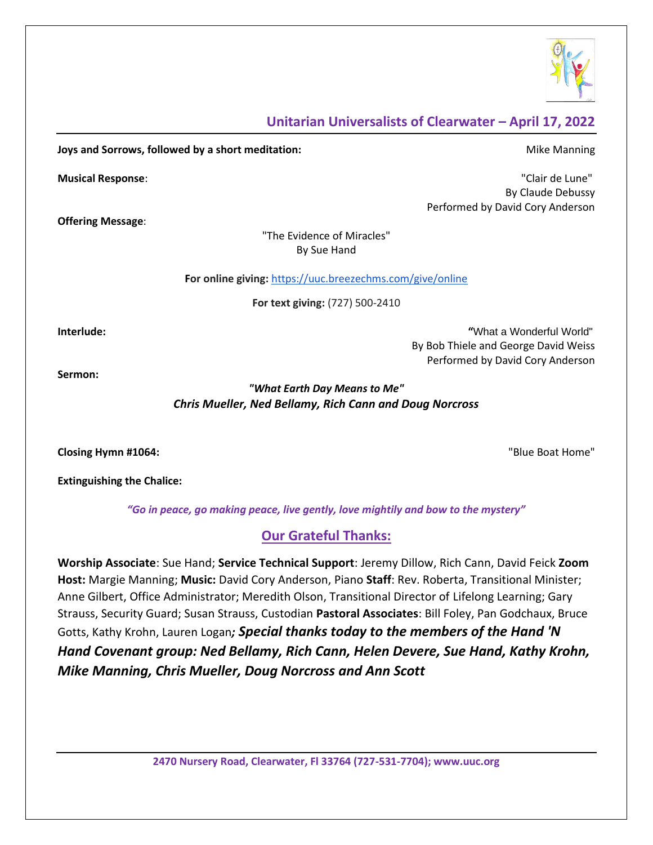

## **Unitarian Universalists of Clearwater – April 17, 2022**

**Joys and Sorrows, followed by a short meditation:** Mike Manning Mike Manning

**Offering Message**:

**Musical Response**: "Clair de Lune" By Claude Debussy Performed by David Cory Anderson

> "The Evidence of Miracles" By Sue Hand

**For online giving:** <https://uuc.breezechms.com/give/online>

**For text giving:** (727) 500-2410

**Interlude: "**What a Wonderful World" By Bob Thiele and George David Weiss Performed by David Cory Anderson

**Sermon:** 

*"What Earth Day Means to Me" Chris Mueller, Ned Bellamy, Rich Cann and Doug Norcross*

**Closing Hymn #1064:** "Blue Boat Home"

**Extinguishing the Chalice:**

*"Go in peace, go making peace, live gently, love mightily and bow to the mystery"*

# **Our Grateful Thanks:**

**Worship Associate**: Sue Hand; **Service Technical Support**: Jeremy Dillow, Rich Cann, David Feick **Zoom Host:** Margie Manning; **Music:** David Cory Anderson, Piano **Staff**: Rev. Roberta, Transitional Minister; Anne Gilbert, Office Administrator; Meredith Olson, Transitional Director of Lifelong Learning; Gary Strauss, Security Guard; Susan Strauss, Custodian **Pastoral Associates**: Bill Foley, Pan Godchaux, Bruce Gotts, Kathy Krohn, Lauren Logan*; Special thanks today to the members of the Hand 'N Hand Covenant group: Ned Bellamy, Rich Cann, Helen Devere, Sue Hand, Kathy Krohn, Mike Manning, Chris Mueller, Doug Norcross and Ann Scott*

**2470 Nursery Road, Clearwater, Fl 33764 (727-531-7704); www.uuc.org**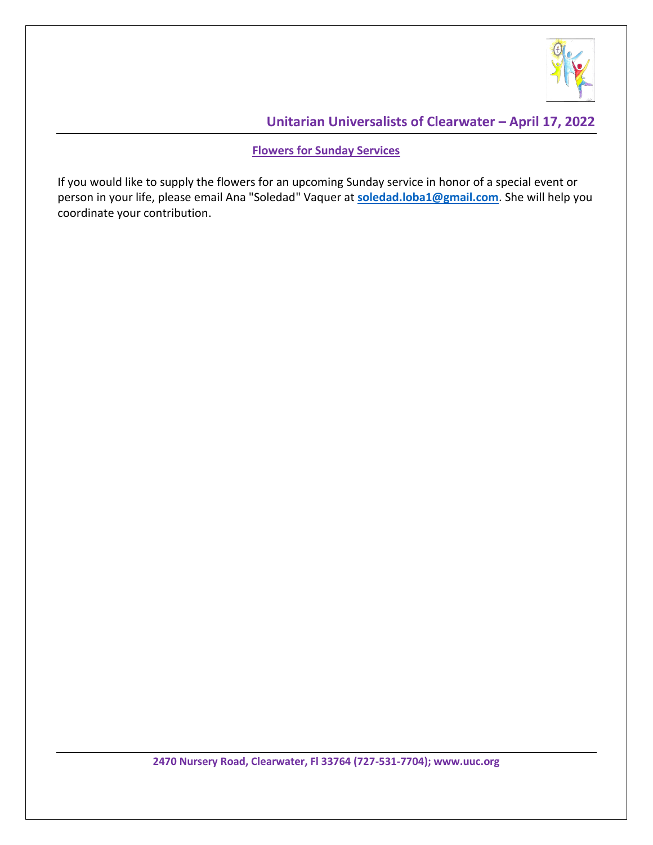

# **Unitarian Universalists of Clearwater – April 17, 2022**

#### **Flowers for Sunday Services**

If you would like to supply the flowers for an upcoming Sunday service in honor of a special event or person in your life, please email Ana "Soledad" Vaquer at **[soledad.loba1@gmail.com](mailto:soledad.loba1@gmail.com)**. She will help you coordinate your contribution.

**2470 Nursery Road, Clearwater, Fl 33764 (727-531-7704); www.uuc.org**